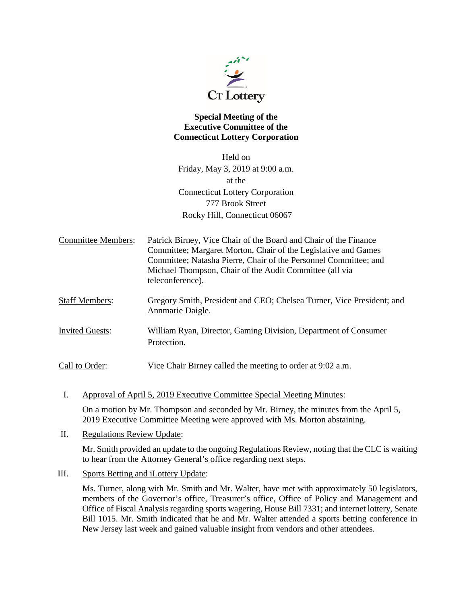

## **Special Meeting of the Executive Committee of the Connecticut Lottery Corporation**

Held on Friday, May 3, 2019 at 9:00 a.m. at the Connecticut Lottery Corporation 777 Brook Street Rocky Hill, Connecticut 06067

| <b>Committee Members:</b> | Patrick Birney, Vice Chair of the Board and Chair of the Finance<br>Committee; Margaret Morton, Chair of the Legislative and Games<br>Committee; Natasha Pierre, Chair of the Personnel Committee; and<br>Michael Thompson, Chair of the Audit Committee (all via<br>teleconference). |
|---------------------------|---------------------------------------------------------------------------------------------------------------------------------------------------------------------------------------------------------------------------------------------------------------------------------------|
| <b>Staff Members:</b>     | Gregory Smith, President and CEO; Chelsea Turner, Vice President; and<br>Annmarie Daigle.                                                                                                                                                                                             |
| <b>Invited Guests:</b>    | William Ryan, Director, Gaming Division, Department of Consumer<br>Protection.                                                                                                                                                                                                        |

Call to Order: Vice Chair Birney called the meeting to order at 9:02 a.m.

- I. Approval of April 5, 2019 Executive Committee Special Meeting Minutes: On a motion by Mr. Thompson and seconded by Mr. Birney, the minutes from the April 5, 2019 Executive Committee Meeting were approved with Ms. Morton abstaining.
- II. Regulations Review Update:

Mr. Smith provided an update to the ongoing Regulations Review, noting that the CLC is waiting to hear from the Attorney General's office regarding next steps.

## III. Sports Betting and iLottery Update:

Ms. Turner, along with Mr. Smith and Mr. Walter, have met with approximately 50 legislators, members of the Governor's office, Treasurer's office, Office of Policy and Management and Office of Fiscal Analysis regarding sports wagering, House Bill 7331; and internet lottery, Senate Bill 1015. Mr. Smith indicated that he and Mr. Walter attended a sports betting conference in New Jersey last week and gained valuable insight from vendors and other attendees.